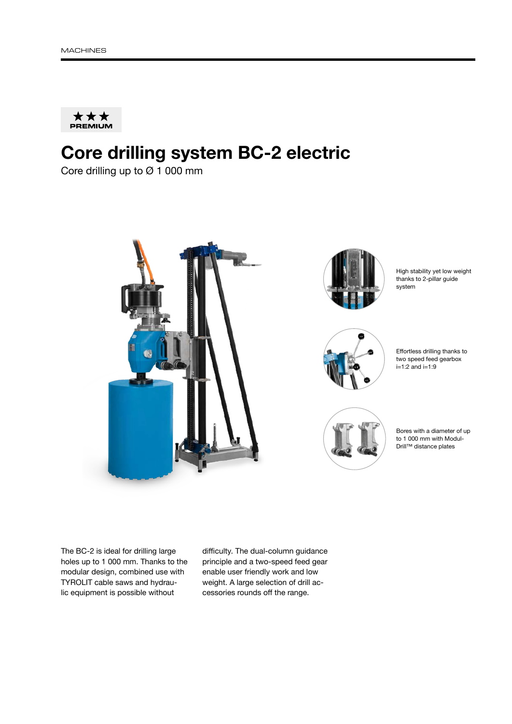

## Core drilling system BC-2 electric

Core drilling up to Ø 1 000 mm





High stability yet low weight thanks to 2-pillar guide system







Bores with a diameter of up to 1 000 mm with Modul-Drill™ distance plates

The BC-2 is ideal for drilling large holes up to 1 000 mm. Thanks to the modular design, combined use with TYROLIT cable saws and hydraulic equipment is possible without

difficulty. The dual-column guidance principle and a two-speed feed gear enable user friendly work and low weight. A large selection of drill accessories rounds off the range.